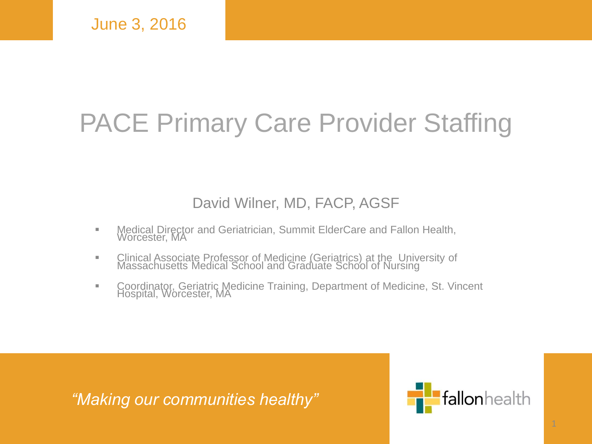#### PACE Primary Care Provider Staffing

#### David Wilner, MD, FACP, AGSF

- **Medical Director and Geriatrician, Summit ElderCare and Fallon Health,** Worcester, MA
- **Example 2** Clinical Associate Professor of Medicine (Geriatrics) at the University of Massachusetts Medical School and Graduate School of Nursing
- **EXECOORDINATOR**, Geriatric Medicine Training, Department of Medicine, St. Vincent Hospital, Worcester, MA

*"Making our communities healthy"*

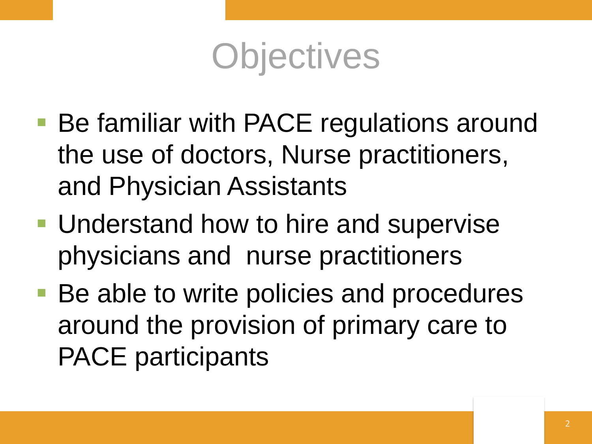

- Be familiar with PACE regulations around the use of doctors, Nurse practitioners, and Physician Assistants
- **Understand how to hire and supervise** physicians and nurse practitioners
- Be able to write policies and procedures around the provision of primary care to PACE participants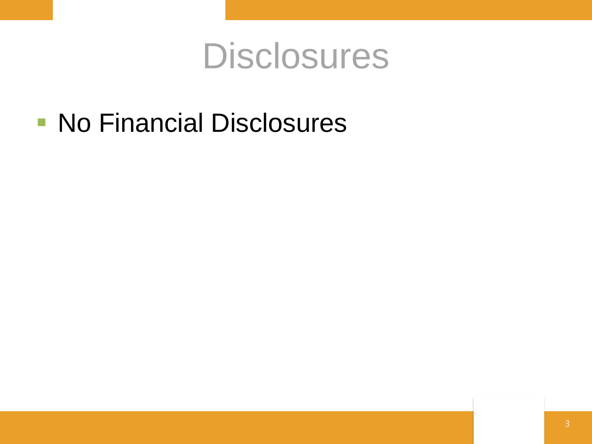#### **Disclosures**

**No Financial Disclosures**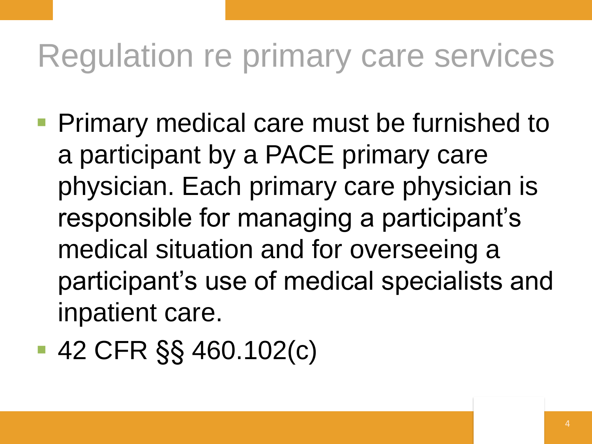### Regulation re primary care services

- **Primary medical care must be furnished to** a participant by a PACE primary care physician. Each primary care physician is responsible for managing a participant's medical situation and for overseeing a participant's use of medical specialists and inpatient care.
- 42 CFR §§ 460.102(c)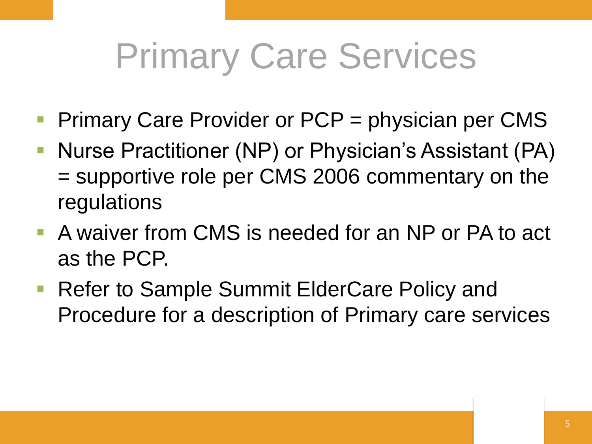## Primary Care Services

- Primary Care Provider or PCP = physician per CMS
- Nurse Practitioner (NP) or Physician's Assistant (PA) = supportive role per CMS 2006 commentary on the regulations
- A waiver from CMS is needed for an NP or PA to act as the PCP.
- Refer to Sample Summit ElderCare Policy and Procedure for a description of Primary care services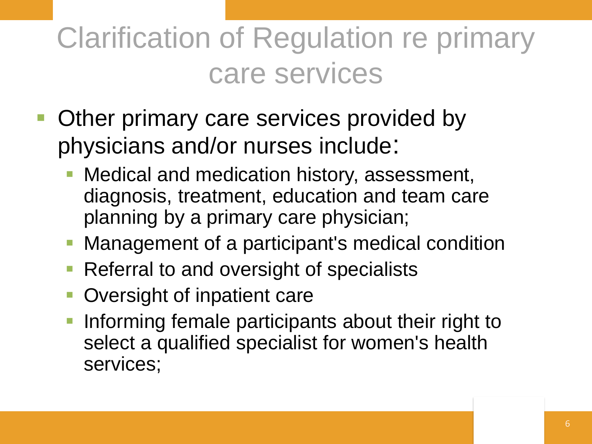#### Clarification of Regulation re primary care services

- Other primary care services provided by physicians and/or nurses include:
	- Medical and medication history, assessment, diagnosis, treatment, education and team care planning by a primary care physician;
	- **Management of a participant's medical condition**
	- Referral to and oversight of specialists
	- Oversight of inpatient care
	- Informing female participants about their right to select a qualified specialist for women's health services;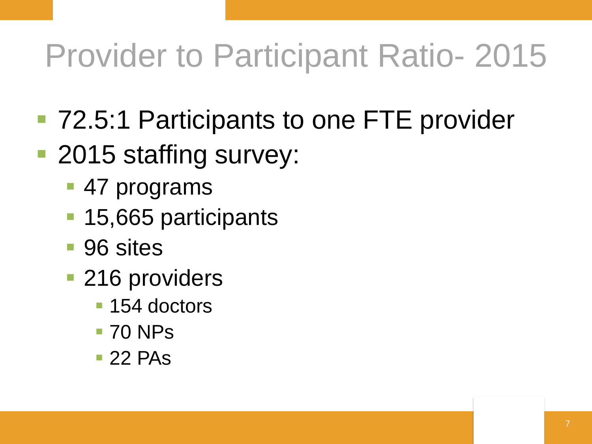### Provider to Participant Ratio- 2015

- 72.5:1 Participants to one FTE provider
- 2015 staffing survey:
	- 47 programs
	- 15,665 participants
	- 96 sites
	- **216 providers** 
		- 154 doctors
		- **70 NPs**
		- $\blacksquare$  22 PAs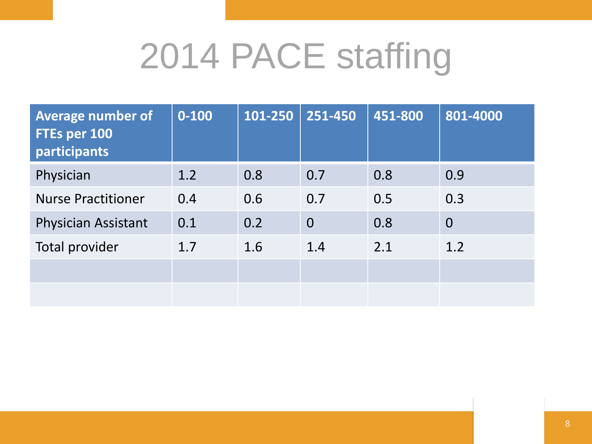## 2014 PACE staffing

| <b>Average number of</b><br>FTEs per 100<br>participants | $0 - 100$ | 101-250 | $251 - 450$    | 451-800 | 801-4000       |
|----------------------------------------------------------|-----------|---------|----------------|---------|----------------|
| Physician                                                | 1.2       | 0.8     | 0.7            | 0.8     | 0.9            |
| <b>Nurse Practitioner</b>                                | 0.4       | 0.6     | 0.7            | 0.5     | 0.3            |
| <b>Physician Assistant</b>                               | 0.1       | 0.2     | $\overline{0}$ | 0.8     | $\overline{0}$ |
| Total provider                                           | 1.7       | 1.6     | 1.4            | 2.1     | 1.2            |
|                                                          |           |         |                |         |                |
|                                                          |           |         |                |         |                |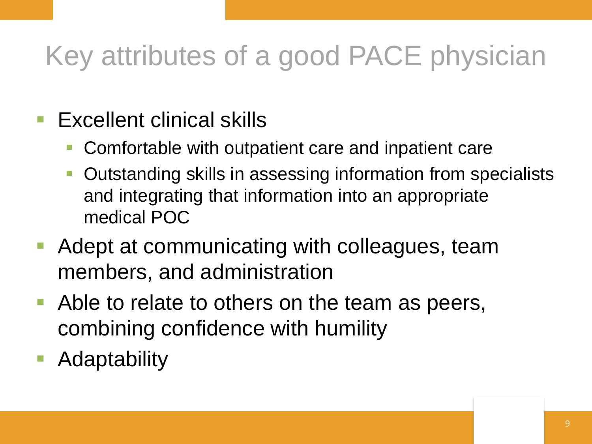#### Key attributes of a good PACE physician

- $\blacksquare$  Excellent clinical skills
	- Comfortable with outpatient care and inpatient care
	- Outstanding skills in assessing information from specialists and integrating that information into an appropriate medical POC
- Adept at communicating with colleagues, team members, and administration
- Able to relate to others on the team as peers, combining confidence with humility
- Adaptability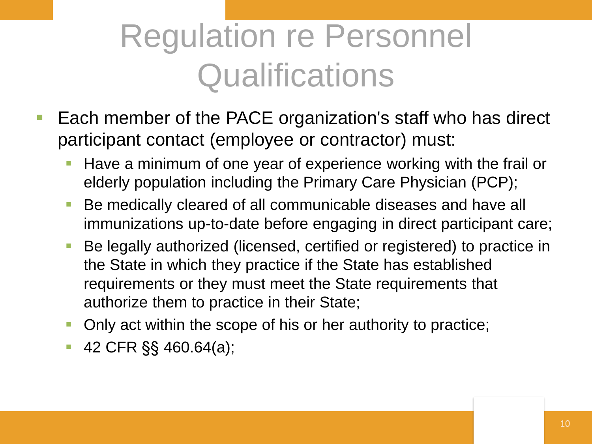### Regulation re Personnel **Qualifications**

- Each member of the PACE organization's staff who has direct participant contact (employee or contractor) must:
	- Have a minimum of one year of experience working with the frail or elderly population including the Primary Care Physician (PCP);
	- Be medically cleared of all communicable diseases and have all immunizations up-to-date before engaging in direct participant care;
	- Be legally authorized (licensed, certified or registered) to practice in the State in which they practice if the State has established requirements or they must meet the State requirements that authorize them to practice in their State;
	- Only act within the scope of his or her authority to practice;
	- 42 CFR §§ 460.64(a);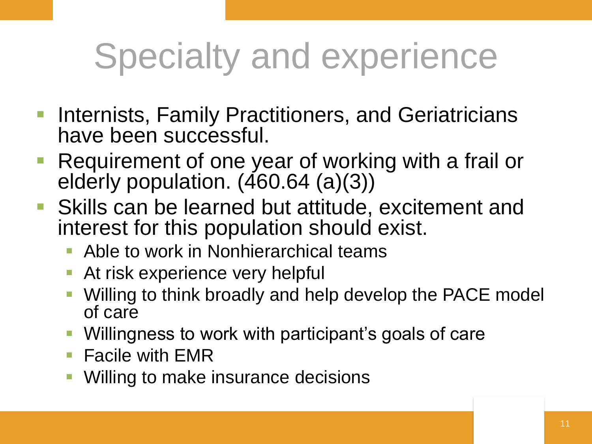## Specialty and experience

- Internists, Family Practitioners, and Geriatricians have been successful.
- Requirement of one year of working with a frail or elderly population. (460.64 (a)(3))
- Skills can be learned but attitude, excitement and interest for this population should exist.
	- Able to work in Nonhierarchical teams
	- At risk experience very helpful
	- Willing to think broadly and help develop the PACE model of care
	- Willingness to work with participant's goals of care
	- $\blacksquare$  Facile with EMR
	- Willing to make insurance decisions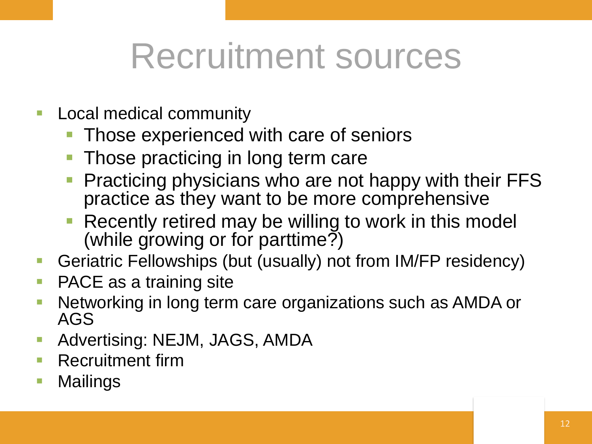## Recruitment sources

- **Local medical community** 
	- Those experienced with care of seniors
	- Those practicing in long term care
	- Practicing physicians who are not happy with their FFS practice as they want to be more comprehensive
	- Recently retired may be willing to work in this model (while growing or for parttime?)
- Geriatric Fellowships (but (usually) not from IM/FP residency)
- PACE as a training site
- Networking in long term care organizations such as AMDA or AGS
- Advertising: NEJM, JAGS, AMDA
- Recruitment firm
- Mailings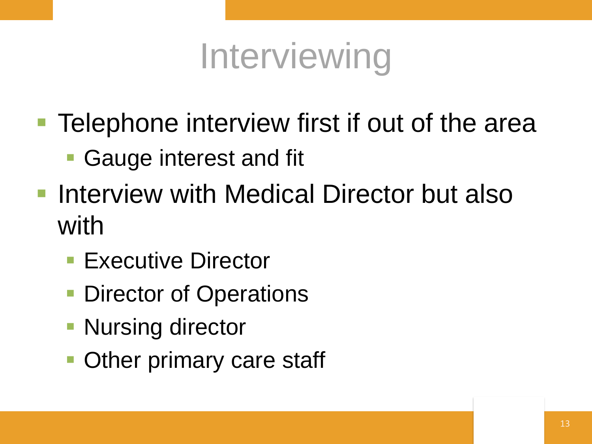## Interviewing

- **Telephone interview first if out of the area** 
	- Gauge interest and fit
- **Interview with Medical Director but also** with
	- **Executive Director**
	- **Director of Operations**
	- **Nursing director**
	- **Other primary care staff**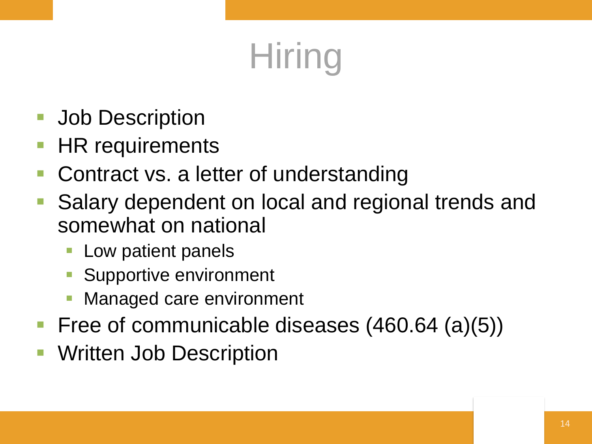## **Hiring**

- **Job Description**
- HR requirements
- Contract vs. a letter of understanding
- Salary dependent on local and regional trends and somewhat on national
	- Low patient panels
	- Supportive environment
	- Managed care environment
- Free of communicable diseases (460.64 (a)(5))
- Written Job Description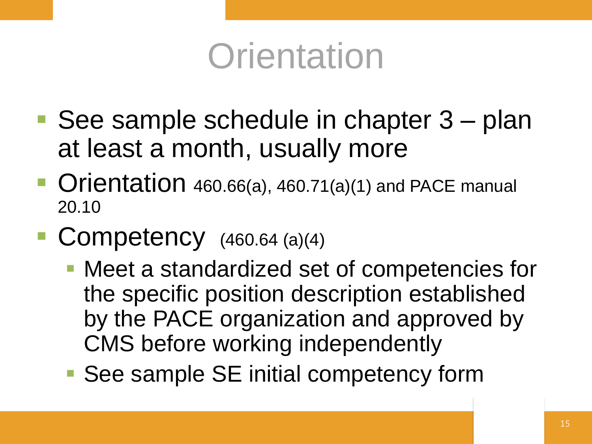### **Orientation**

- See sample schedule in chapter 3 plan at least a month, usually more
- Orientation 460.66(a), 460.71(a)(1) and PACE manual 20.10
- Competency  $(460.64 \text{ (a)}(4))$ 
	- Meet a standardized set of competencies for the specific position description established by the PACE organization and approved by CMS before working independently
	- See sample SE initial competency form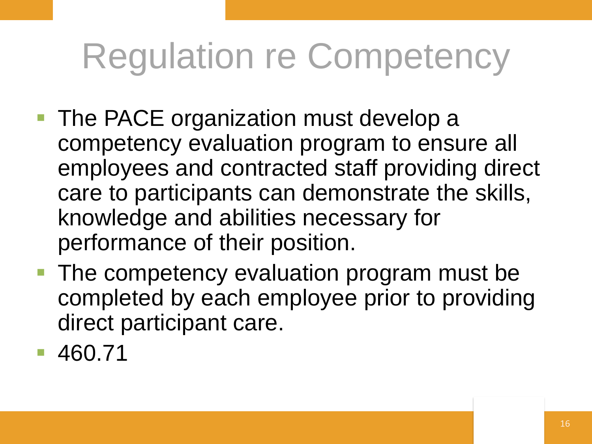## Regulation re Competency

- **The PACE organization must develop a** competency evaluation program to ensure all employees and contracted staff providing direct care to participants can demonstrate the skills, knowledge and abilities necessary for performance of their position.
- The competency evaluation program must be completed by each employee prior to providing direct participant care.

460.71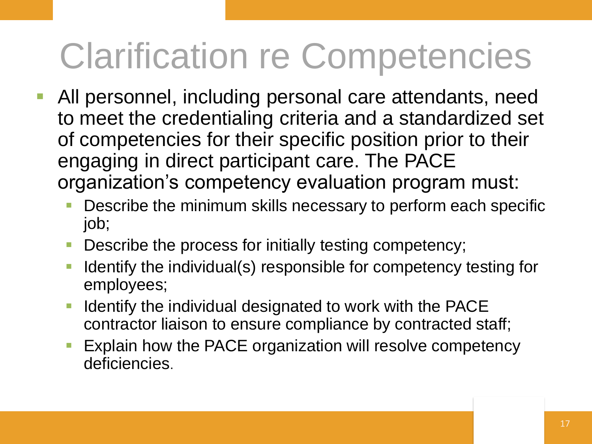## Clarification re Competencies

- All personnel, including personal care attendants, need to meet the credentialing criteria and a standardized set of competencies for their specific position prior to their engaging in direct participant care. The PACE organization's competency evaluation program must:
	- Describe the minimum skills necessary to perform each specific job;
	- Describe the process for initially testing competency;
	- Identify the individual(s) responsible for competency testing for employees;
	- **IDENTIFY 11 Identify the individual designated to work with the PACE** contractor liaison to ensure compliance by contracted staff;
	- Explain how the PACE organization will resolve competency deficiencies.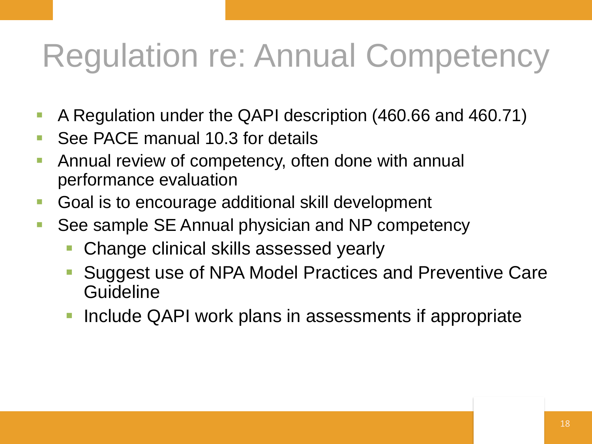### Regulation re: Annual Competency

- A Regulation under the QAPI description (460.66 and 460.71)
- See PACE manual 10.3 for details
- **Annual review of competency, often done with annual** performance evaluation
- Goal is to encourage additional skill development
- See sample SE Annual physician and NP competency
	- Change clinical skills assessed yearly
	- Suggest use of NPA Model Practices and Preventive Care **Guideline**
	- Include QAPI work plans in assessments if appropriate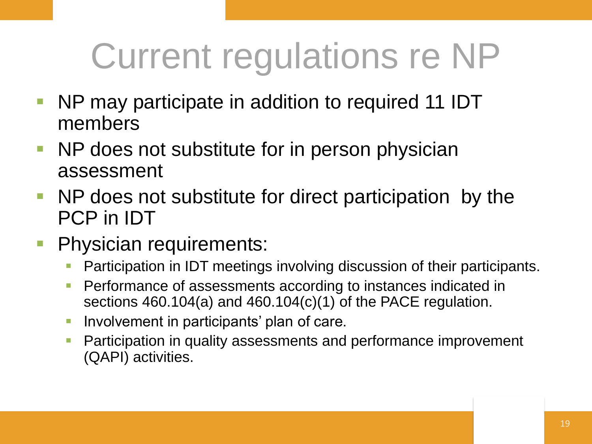## Current regulations re NP

- NP may participate in addition to required 11 IDT members
- **NP does not substitute for in person physician** assessment
- NP does not substitute for direct participation by the PCP in IDT
- **Physician requirements:** 
	- **Participation in IDT meetings involving discussion of their participants.**
	- **Performance of assessments according to instances indicated in** sections 460.104(a) and 460.104(c)(1) of the PACE regulation.
	- **Involvement in participants' plan of care.**
	- **Participation in quality assessments and performance improvement** (QAPI) activities.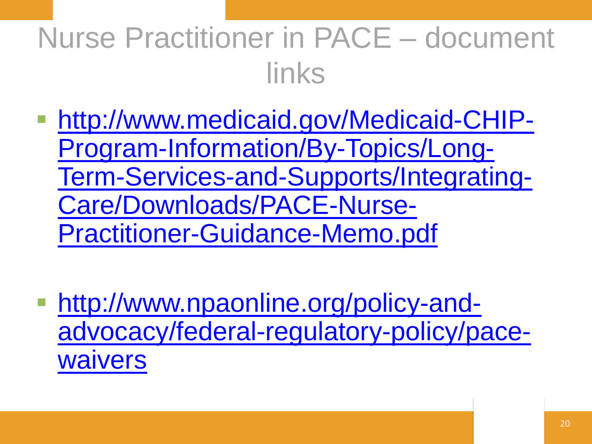#### Nurse Practitioner in PACE – document links

- http://www.medicaid.gov/Medicaid-CHIP-Program-Information/By-Topics/Long-[Term-Services-and-Supports/Integrating-](http://www.medicaid.gov/Medicaid-CHIP-Program-Information/By-Topics/Long-Term-Services-and-Supports/Integrating-Care/Downloads/PACE-Nurse-Practitioner-Guidance-Memo.pdf)Care/Downloads/PACE-Nurse-Practitioner-Guidance-Memo.pdf
- http://www.npaonline.org/policy-and[advocacy/federal-regulatory-policy/pace](http://www.npaonline.org/policy-and-advocacy/federal-regulatory-policy/pace-waivers)waivers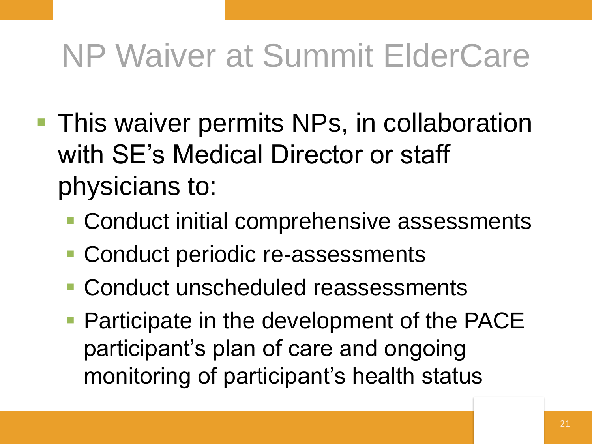### NP Waiver at Summit ElderCare

- **This waiver permits NPs, in collaboration** with SE's Medical Director or staff physicians to:
	- Conduct initial comprehensive assessments
	- Conduct periodic re-assessments
	- **Conduct unscheduled reassessments**
	- **Participate in the development of the PACE** participant's plan of care and ongoing monitoring of participant's health status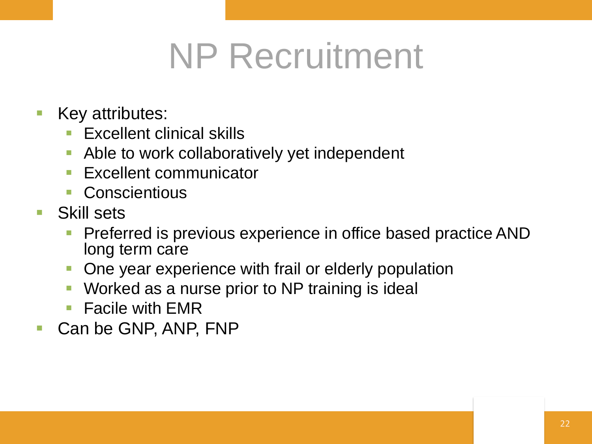## NP Recruitment

- **Key attributes:** 
	- **Excellent clinical skills**
	- Able to work collaboratively yet independent
	- **Excellent communicator**
	- **Conscientious**
- Skill sets
	- Preferred is previous experience in office based practice AND long term care
	- One year experience with frail or elderly population
	- Worked as a nurse prior to NP training is ideal
	- Facile with EMR
- Can be GNP, ANP, FNP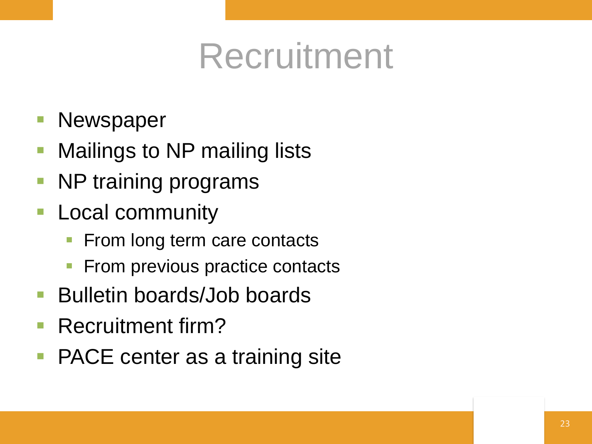## Recruitment

- **Newspaper**
- Mailings to NP mailing lists
- NP training programs
- **Local community** 
	- From long term care contacts
	- From previous practice contacts
- Bulletin boards/Job boards
- Recruitment firm?
- PACE center as a training site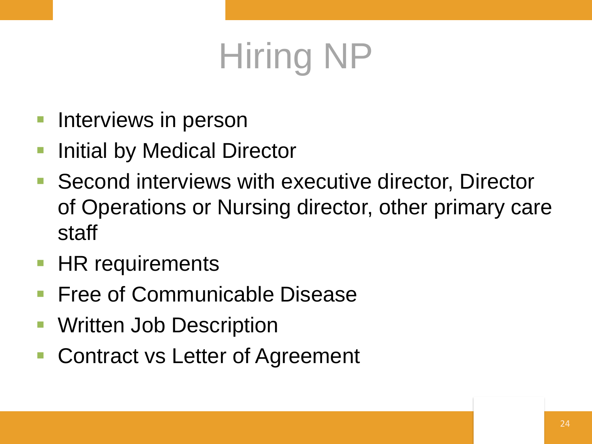## Hiring NP

- Interviews in person
- Initial by Medical Director
- Second interviews with executive director, Director of Operations or Nursing director, other primary care staff
- **HR requirements**
- Free of Communicable Disease
- Written Job Description
- Contract vs Letter of Agreement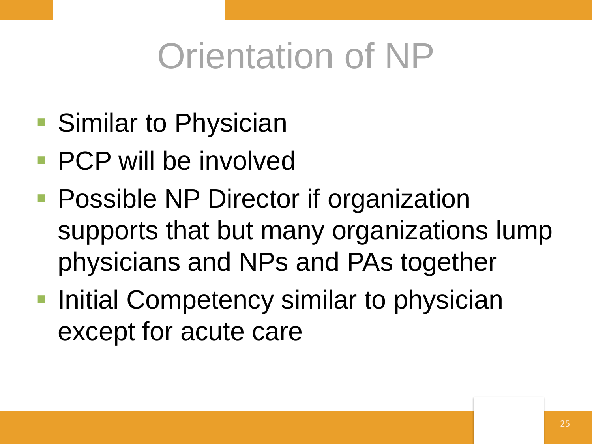## Orientation of NP

- Similar to Physician
- **PCP will be involved**
- **Possible NP Director if organization** supports that but many organizations lump physicians and NPs and PAs together
- **Initial Competency similar to physician** except for acute care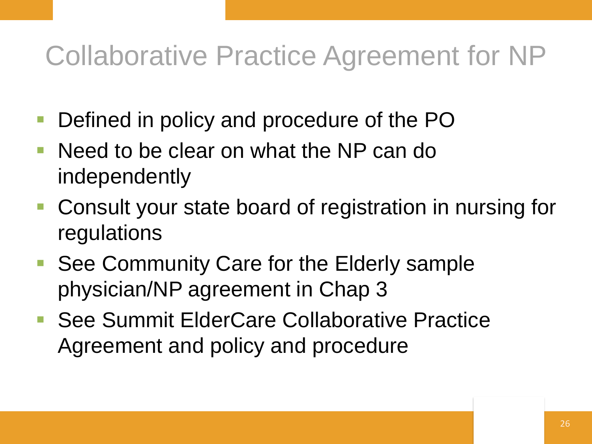#### Collaborative Practice Agreement for NP

- Defined in policy and procedure of the PO
- Need to be clear on what the NP can do independently
- Consult your state board of registration in nursing for regulations
- See Community Care for the Elderly sample physician/NP agreement in Chap 3
- See Summit ElderCare Collaborative Practice Agreement and policy and procedure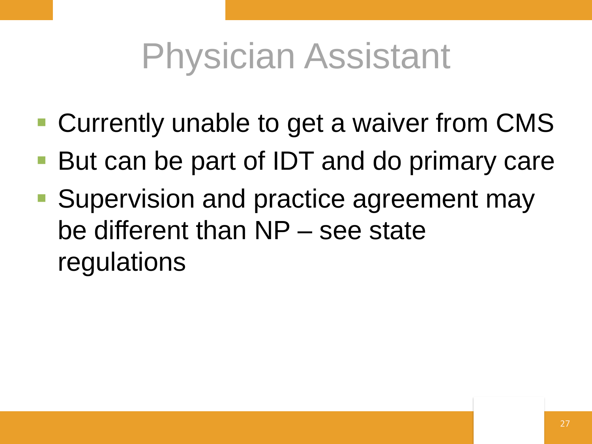## Physician Assistant

- Currently unable to get a waiver from CMS
- But can be part of IDT and do primary care
- **Supervision and practice agreement may** be different than NP – see state regulations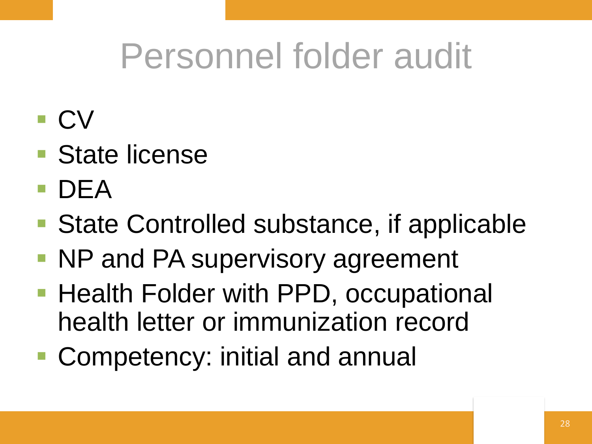## Personnel folder audit

- $\blacksquare$  CV
- State license
- DEA
- State Controlled substance, if applicable
- NP and PA supervisory agreement
- **Health Folder with PPD, occupational** health letter or immunization record
- **Competency: initial and annual**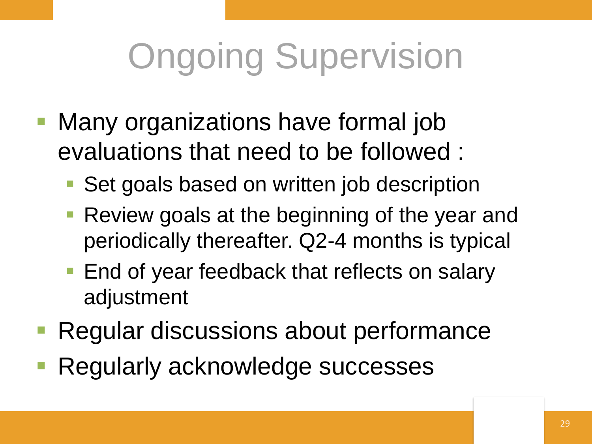# Ongoing Supervision

- Many organizations have formal job evaluations that need to be followed :
	- Set goals based on written job description
	- **Review goals at the beginning of the year and** periodically thereafter. Q2-4 months is typical
	- **End of year feedback that reflects on salary** adjustment
- Regular discussions about performance
- Regularly acknowledge successes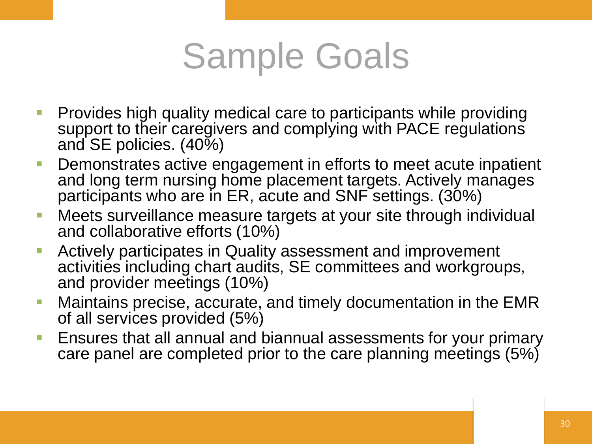## Sample Goals

- **Provides high quality medical care to participants while providing** support to their caregivers and complying with PACE regulations and SE policies. (40%)
- **Demonstrates active engagement in efforts to meet acute inpatient** and long term nursing home placement targets. Actively manages participants who are in ER, acute and SNF settings. (30%)
- **Neets surveillance measure targets at your site through individual** and collaborative efforts (10%)
- **EXTERGHTM Actively participates in Quality assessment and improvement** activities including chart audits, SE committees and workgroups, and provider meetings (10%)
- **Maintains precise, accurate, and timely documentation in the EMR** of all services provided (5%)
- Ensures that all annual and biannual assessments for your primary care panel are completed prior to the care planning meetings (5%)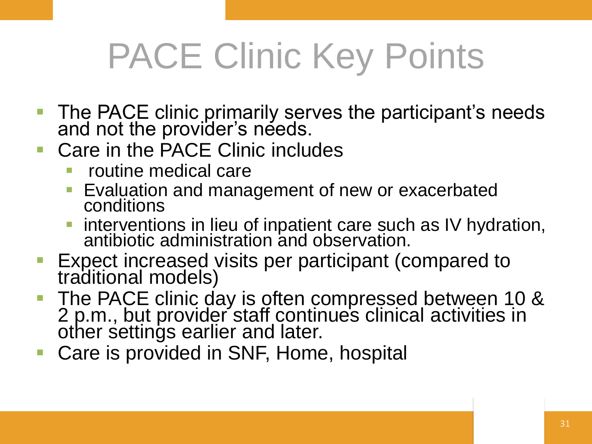## PACE Clinic Key Points

- **The PACE clinic primarily serves the participant's needs** and not the provider's needs.
- Care in the PACE Clinic includes
	- routine medical care
	- Evaluation and management of new or exacerbated conditions
	- **Interventions in lieu of inpatient care such as IV hydration,** antibiotic administration and observation.
- Expect increased visits per participant (compared to traditional models)
- The PACE clinic day is often compressed between 10 & 2 p.m., but provider staff continue's clinical activities in other settings earlier and later.
- Care is provided in SNF, Home, hospital